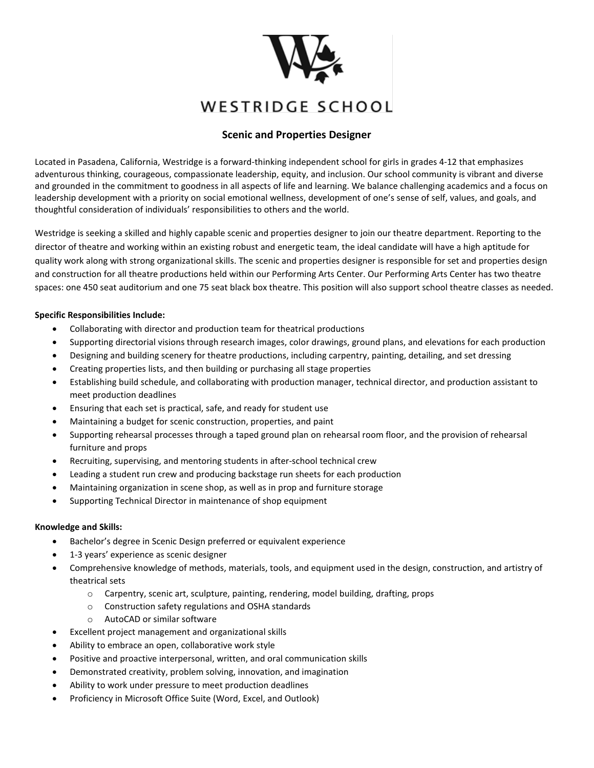

# WESTRIDGE SCHOOL

## **Scenic and Properties Designer**

Located in Pasadena, California, Westridge is a forward-thinking independent school for girls in grades 4-12 that emphasizes adventurous thinking, courageous, compassionate leadership, equity, and inclusion. Our school community is vibrant and diverse and grounded in the commitment to goodness in all aspects of life and learning. We balance challenging academics and a focus on leadership development with a priority on social emotional wellness, development of one's sense of self, values, and goals, and thoughtful consideration of individuals' responsibilities to others and the world.

Westridge is seeking a skilled and highly capable scenic and properties designer to join our theatre department. Reporting to the director of theatre and working within an existing robust and energetic team, the ideal candidate will have a high aptitude for quality work along with strong organizational skills. The scenic and properties designer is responsible for set and properties design and construction for all theatre productions held within our Performing Arts Center. Our Performing Arts Center has two theatre spaces: one 450 seat auditorium and one 75 seat black box theatre. This position will also support school theatre classes as needed.

### **Specific Responsibilities Include:**

- Collaborating with director and production team for theatrical productions
- Supporting directorial visions through research images, color drawings, ground plans, and elevations for each production
- Designing and building scenery for theatre productions, including carpentry, painting, detailing, and set dressing
- Creating properties lists, and then building or purchasing all stage properties
- Establishing build schedule, and collaborating with production manager, technical director, and production assistant to meet production deadlines
- Ensuring that each set is practical, safe, and ready for student use
- Maintaining a budget for scenic construction, properties, and paint
- Supporting rehearsal processes through a taped ground plan on rehearsal room floor, and the provision of rehearsal furniture and props
- Recruiting, supervising, and mentoring students in after-school technical crew
- Leading a student run crew and producing backstage run sheets for each production
- Maintaining organization in scene shop, as well as in prop and furniture storage
- Supporting Technical Director in maintenance of shop equipment

### **Knowledge and Skills:**

- Bachelor's degree in Scenic Design preferred or equivalent experience
- 1-3 years' experience as scenic designer
- Comprehensive knowledge of methods, materials, tools, and equipment used in the design, construction, and artistry of theatrical sets
	- $\circ$  Carpentry, scenic art, sculpture, painting, rendering, model building, drafting, props
	- o Construction safety regulations and OSHA standards
	- o AutoCAD or similar software
- Excellent project management and organizational skills
- Ability to embrace an open, collaborative work style
- Positive and proactive interpersonal, written, and oral communication skills
- Demonstrated creativity, problem solving, innovation, and imagination
- Ability to work under pressure to meet production deadlines
- Proficiency in Microsoft Office Suite (Word, Excel, and Outlook)